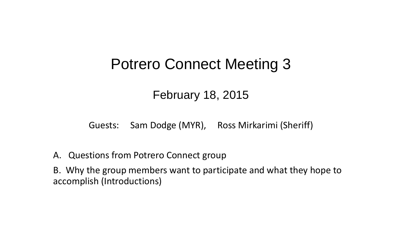# Potrero Connect Meeting 3

# February 18, 2015

Guests: Sam Dodge (MYR), Ross Mirkarimi (Sheriff)

A. Questions from Potrero Connect group

B. Why the group members want to participate and what they hope to accomplish (Introductions)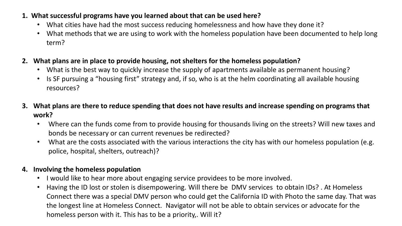## **1. What successful programs have you learned about that can be used here?**

- What cities have had the most success reducing homelessness and how have they done it?
- What methods that we are using to work with the homeless population have been documented to help long term?
- **2. What plans are in place to provide housing, not shelters for the homeless population?**
	- What is the best way to quickly increase the supply of apartments available as permanent housing?
	- Is SF pursuing a "housing first" strategy and, if so, who is at the helm coordinating all available housing resources?
- **3. What plans are there to reduce spending that does not have results and increase spending on programs that work?**
	- Where can the funds come from to provide housing for thousands living on the streets? Will new taxes and bonds be necessary or can current revenues be redirected?
	- What are the costs associated with the various interactions the city has with our homeless population (e.g. police, hospital, shelters, outreach)?

# **4. Involving the homeless population**

- I would like to hear more about engaging service providees to be more involved.
- Having the ID lost or stolen is disempowering. Will there be DMV services to obtain IDs? . At Homeless Connect there was a special DMV person who could get the California ID with Photo the same day. That was the longest line at Homeless Connect. Navigator will not be able to obtain services or advocate for the homeless person with it. This has to be a priority,. Will it?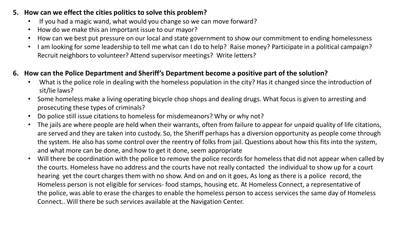#### **5. How can we effect the cities politics to solve this problem?**

- If you had a magic wand, what would you change so we can move forward?
- How do we make this an important issue to our mayor?
- How can we best put pressure on our local and state government to show our commitment to ending homelessness
- I am looking for some leadership to tell me what can I do to help? Raise money? Participate in a political campaign? Recruit neighbors to volunteer? Attend supervisor meetings? Write letters?

### **6. How can the Police Department and Sheriff's Department become a positive part of the solution?**

- What is the police role in dealing with the homeless population in the city? Has it changed since the introduction of sit/lie laws?
- Some homeless make a living operating bicycle chop shops and dealing drugs. What focus is given to arresting and prosecuting these types of criminals?
- Do police still issue citations to homeless for misdemeanors? Why or why not?
- The jails are where people are held when their warrants, often from failure to appear for unpaid quality of life citations, are served and they are taken into custody. So, the Sheriff perhaps has a diversion opportunity as people come through the system. He also has some control over the reentry of folks from jail. Questions about how this fits into the system, and what more can be done, and how to get it done, seem appropriate
- Will there be coordination with the police to remove the police records for homeless that did not appear when called by the courts. Homeless have no address and the courts have not really contacted the individual to show up for a court hearing yet the court charges them with no show. And on and on it goes, As long as there is a police record, the Homeless person is not eligible for services- food stamps, housing etc. At Homeless Connect, a representative of the police, was able to erase the charges to enable the homeless person to access services the same day of Homeless Connect.. Will there be such services available at the Navigation Center.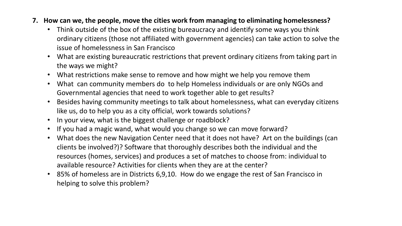- **7. How can we, the people, move the cities work from managing to eliminating homelessness?**
	- Think outside of the box of the existing bureaucracy and identify some ways you think ordinary citizens (those not affiliated with government agencies) can take action to solve the issue of homelessness in San Francisco
	- What are existing bureaucratic restrictions that prevent ordinary citizens from taking part in the ways we might?
	- What restrictions make sense to remove and how might we help you remove them
	- What can community members do to help Homeless individuals or are only NGOs and Governmental agencies that need to work together able to get results?
	- Besides having community meetings to talk about homelessness, what can everyday citizens like us, do to help you as a city official, work towards solutions?
	- In your view, what is the biggest challenge or roadblock?
	- If you had a magic wand, what would you change so we can move forward?
	- What does the new Navigation Center need that it does not have? Art on the buildings (can clients be involved?)? Software that thoroughly describes both the individual and the resources (homes, services) and produces a set of matches to choose from: individual to available resource? Activities for clients when they are at the center?
	- 85% of homeless are in Districts 6,9,10. How do we engage the rest of San Francisco in helping to solve this problem?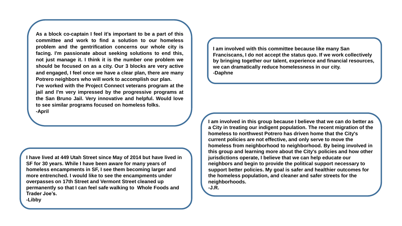**As a block co-captain I feel it's important to be a part of this committee and work to find a solution to our homeless problem and the gentrification concerns our whole city is facing. I'm passionate about seeking solutions to end this, not just manage it. I think it is the number one problem we should be focused on as a city. Our 3 blocks are very active and engaged, I feel once we have a clear plan, there are many Potrero neighbors who will work to accomplish our plan. I've worked with the Project Connect veterans program at the jail and I'm very impressed by the progressive programs at the San Bruno Jail. Very innovative and helpful. Would love to see similar programs focused on homeless folks. -April**

**I have lived at 449 Utah Street since May of 2014 but have lived in SF for 30 years. While I have been aware for many years of homeless encampments in SF, I see them becoming larger and more entrenched. I would like to see the encampments under overpasses on 17th Street and Vermont Street cleaned up permanently so that I can feel safe walking to Whole Foods and Trader Joe's.**

**I am involved with this committee because like many San Franciscans, I do not accept the status quo. If we work collectively by bringing together our talent, experience and financial resources, we can dramatically reduce homelessness in our city. -Daphne**

**I am involved in this group because I believe that we can do better as a City in treating our indigent population. The recent migration of the homeless to northwest Potrero has driven home that the City's current policies are not effective, and only serve to move the homeless from neighborhood to neighborhood. By being involved in this group and learning more about the City's policies and how other jurisdictions operate, I believe that we can help educate our neighbors and begin to provide the political support necessary to support better policies. My goal is safer and healthier outcomes for the homeless population, and cleaner and safer streets for the neighborhoods.**

**-J.R.**

**-Libby**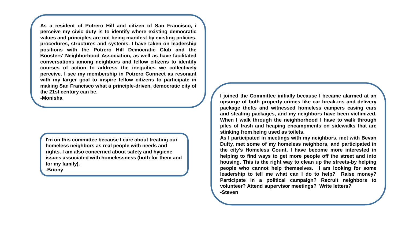**As a resident of Potrero Hill and citizen of San Francisco, i perceive my civic duty is to identify where existing democratic values and principles are not being manifest by existing policies, procedures, structures and systems. I have taken on leadership positions with the Potrero Hill Democratic Club and the Boosters' Neighborhood Association, as well as have facilitated conversations among neighbors and fellow citizens to identify courses of action to address the inequities we collectively perceive. I see my membership in Potrero Connect as resonant with my larger goal to inspire fellow citizens to participate in making San Francisco what a principle-driven, democratic city of the 21st century can be.**

**I'm on this committee because I care about treating our homeless neighbors as real people with needs and rights. I am also concerned about safety and hygiene issues associated with homelessness (both for them and for my family).**

**-Briony**

**-Monisha I joined the Committee initially because I became alarmed at an upsurge of both property crimes like car break-ins and delivery package thefts and witnessed homeless campers casing cars and stealing packages, and my neighbors have been victimized. When I walk through the neighborhood I have to walk through piles of trash and heaping encampments on sidewalks that are stinking from being used as toilets.**

> **As I participated in meetings with my neighbors, met with Bevan Dufty, met some of my homeless neighbors, and participated in the city's Homeless Count, I have become more interested in helping to find ways to get more people off the street and into housing. This is the right way to clean up the streets-by helping people who cannot help themselves. I am looking for some leadership to tell me what can I do to help? Raise money? Participate in a political campaign? Recruit neighbors to volunteer? Attend supervisor meetings? Write letters? -Steven**